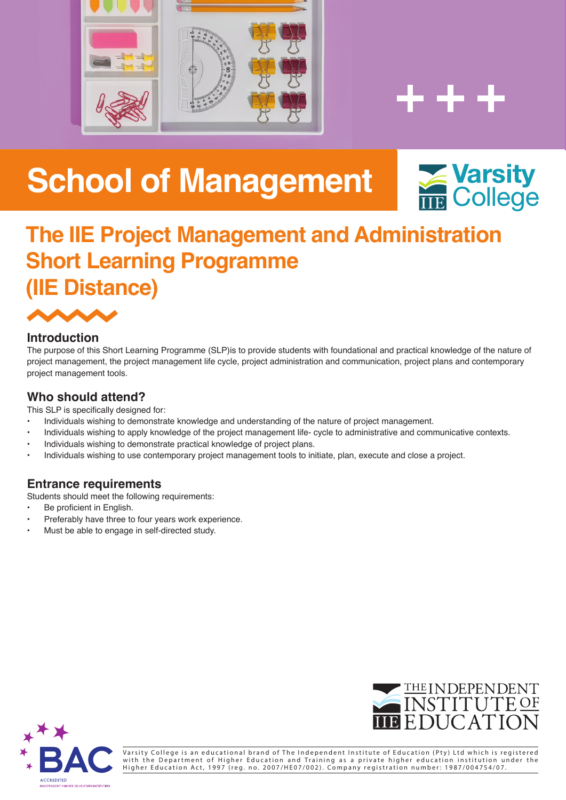



# **School of Management School of Management**



## **The IIE Project Management and Administration Short Learning Programme The IIE Project Management and Administration (IIE Distance)**



## expose graduates to concepts, principles, and theories of entrepreneurship within the context of a developing country such as South **Introduction**

The purpose of this Short Learning Programme (SLP)is to provide students with foundational and practical knowledge of the nature of project management, the project management life cycle, project administration and communication, project plans and contemporary The distance mode of study is ideal for working adults who prefer not to attend full-time lectures but who are keen to study a project management tools.

#### who should attend? **Expandity footprint of a current business within developing counties such as South Africa.**  $\alpha$  strong focus on Entrepreneurship with the aim of establishing the aim of establishing the aim of establishing the aim of establishing the aim of establishing the aim of establishing the aim of establishing the aim of

This SLP is specifically designed for:

- · Individuals wishing to demonstrate knowledge and understanding of the nature of project management.
- Individuals wishing to apply knowledge of the project management life- cycle to administrative and communicative contexts.
- Individuals wishing to demonstrate practical knowledge of project plans.
- Individuals wishing to use contemporary project management tools to initiate, plan, execute and close a project.

## **Entrance requirements**

Students should meet the following requirements:

- **•** Be proficient in English.
- Preferably have three to four years work experience.
- Must be able to engage in self-directed study.